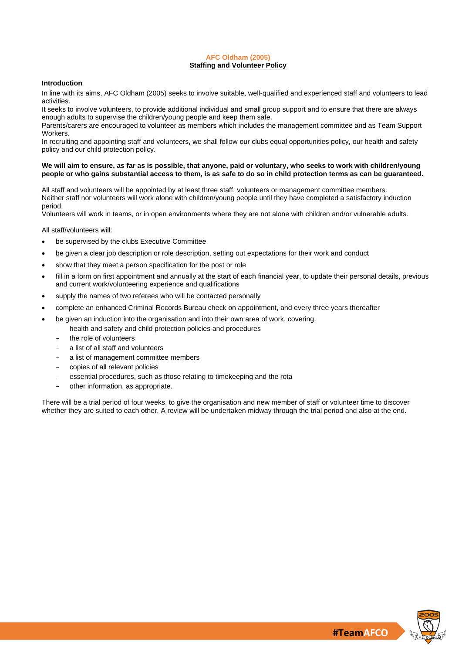## **AFC Oldham (2005) Staffing and Volunteer Policy**

# **Introduction**

In line with its aims, AFC Oldham (2005) seeks to involve suitable, well-qualified and experienced staff and volunteers to lead activities.

It seeks to involve volunteers, to provide additional individual and small group support and to ensure that there are always enough adults to supervise the children/young people and keep them safe.

Parents/carers are encouraged to volunteer as members which includes the management committee and as Team Support Workers.

In recruiting and appointing staff and volunteers, we shall follow our clubs equal opportunities policy, our health and safety policy and our child protection policy.

## **We will aim to ensure, as far as is possible, that anyone, paid or voluntary, who seeks to work with children/young people or who gains substantial access to them, is as safe to do so in child protection terms as can be guaranteed.**

All staff and volunteers will be appointed by at least three staff, volunteers or management committee members. Neither staff nor volunteers will work alone with children/young people until they have completed a satisfactory induction period.

Volunteers will work in teams, or in open environments where they are not alone with children and/or vulnerable adults.

All staff/volunteers will:

- be supervised by the clubs Executive Committee
- be given a clear job description or role description, setting out expectations for their work and conduct
- show that they meet a person specification for the post or role
- fill in a form on first appointment and annually at the start of each financial year, to update their personal details, previous and current work/volunteering experience and qualifications
- supply the names of two referees who will be contacted personally
- complete an enhanced Criminal Records Bureau check on appointment, and every three years thereafter
- be given an induction into the organisation and into their own area of work, covering:
	- health and safety and child protection policies and procedures
	- the role of volunteers
	- a list of all staff and volunteers
	- a list of management committee members
	- copies of all relevant policies
	- essential procedures, such as those relating to timekeeping and the rota
	- other information, as appropriate.

There will be a trial period of four weeks, to give the organisation and new member of staff or volunteer time to discover whether they are suited to each other. A review will be undertaken midway through the trial period and also at the end.